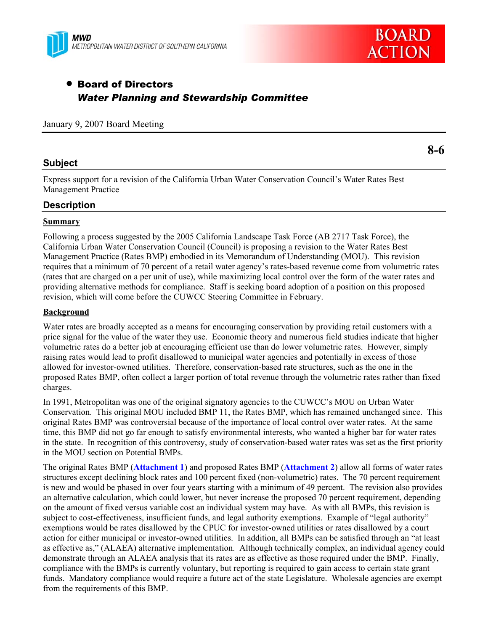



# • Board of Directors *Water Planning and Stewardship Committee*

#### January 9, 2007 Board Meeting

## **Subject**

**8-6** 

Express support for a revision of the California Urban Water Conservation Council's Water Rates Best Management Practice

## **Description**

### **Summary**

Following a process suggested by the 2005 California Landscape Task Force (AB 2717 Task Force), the California Urban Water Conservation Council (Council) is proposing a revision to the Water Rates Best Management Practice (Rates BMP) embodied in its Memorandum of Understanding (MOU). This revision requires that a minimum of 70 percent of a retail water agency's rates-based revenue come from volumetric rates (rates that are charged on a per unit of use), while maximizing local control over the form of the water rates and providing alternative methods for compliance. Staff is seeking board adoption of a position on this proposed revision, which will come before the CUWCC Steering Committee in February.

### **Background**

Water rates are broadly accepted as a means for encouraging conservation by providing retail customers with a price signal for the value of the water they use. Economic theory and numerous field studies indicate that higher volumetric rates do a better job at encouraging efficient use than do lower volumetric rates. However, simply raising rates would lead to profit disallowed to municipal water agencies and potentially in excess of those allowed for investor-owned utilities. Therefore, conservation-based rate structures, such as the one in the proposed Rates BMP, often collect a larger portion of total revenue through the volumetric rates rather than fixed charges.

In 1991, Metropolitan was one of the original signatory agencies to the CUWCC's MOU on Urban Water Conservation. This original MOU included BMP 11, the Rates BMP, which has remained unchanged since. This original Rates BMP was controversial because of the importance of local control over water rates. At the same time, this BMP did not go far enough to satisfy environmental interests, who wanted a higher bar for water rates in the state. In recognition of this controversy, study of conservation-based water rates was set as the first priority in the MOU section on Potential BMPs.

The original Rates BMP (**Attachment 1**) and proposed Rates BMP (**Attachment 2**) allow all forms of water rates structures except declining block rates and 100 percent fixed (non-volumetric) rates. The 70 percent requirement is new and would be phased in over four years starting with a minimum of 49 percent. The revision also provides an alternative calculation, which could lower, but never increase the proposed 70 percent requirement, depending on the amount of fixed versus variable cost an individual system may have. As with all BMPs, this revision is subject to cost-effectiveness, insufficient funds, and legal authority exemptions. Example of "legal authority" exemptions would be rates disallowed by the CPUC for investor-owned utilities or rates disallowed by a court action for either municipal or investor-owned utilities. In addition, all BMPs can be satisfied through an "at least as effective as," (ALAEA) alternative implementation. Although technically complex, an individual agency could demonstrate through an ALAEA analysis that its rates are as effective as those required under the BMP. Finally, compliance with the BMPs is currently voluntary, but reporting is required to gain access to certain state grant funds. Mandatory compliance would require a future act of the state Legislature. Wholesale agencies are exempt from the requirements of this BMP.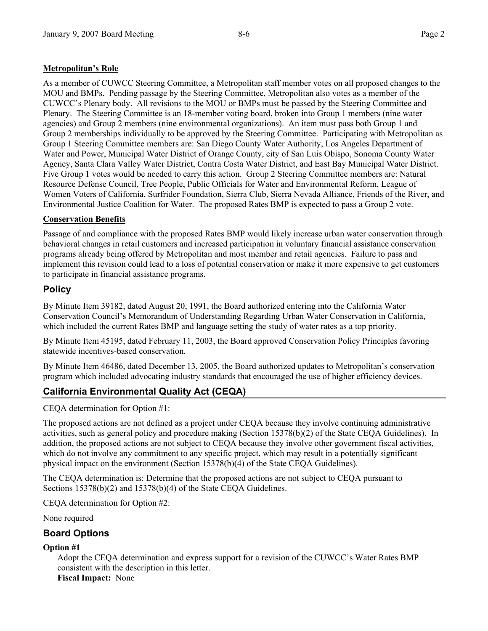## **Metropolitan's Role**

As a member of CUWCC Steering Committee, a Metropolitan staff member votes on all proposed changes to the MOU and BMPs. Pending passage by the Steering Committee, Metropolitan also votes as a member of the CUWCC's Plenary body. All revisions to the MOU or BMPs must be passed by the Steering Committee and Plenary. The Steering Committee is an 18-member voting board, broken into Group 1 members (nine water agencies) and Group 2 members (nine environmental organizations). An item must pass both Group 1 and Group 2 memberships individually to be approved by the Steering Committee. Participating with Metropolitan as Group 1 Steering Committee members are: San Diego County Water Authority, Los Angeles Department of Water and Power, Municipal Water District of Orange County, city of San Luis Obispo, Sonoma County Water Agency, Santa Clara Valley Water District, Contra Costa Water District, and East Bay Municipal Water District. Five Group 1 votes would be needed to carry this action. Group 2 Steering Committee members are: Natural Resource Defense Council, Tree People, Public Officials for Water and Environmental Reform, League of Women Voters of California, Surfrider Foundation, Sierra Club, Sierra Nevada Alliance, Friends of the River, and Environmental Justice Coalition for Water. The proposed Rates BMP is expected to pass a Group 2 vote.

### **Conservation Benefits**

Passage of and compliance with the proposed Rates BMP would likely increase urban water conservation through behavioral changes in retail customers and increased participation in voluntary financial assistance conservation programs already being offered by Metropolitan and most member and retail agencies. Failure to pass and implement this revision could lead to a loss of potential conservation or make it more expensive to get customers to participate in financial assistance programs.

# **Policy**

By Minute Item 39182, dated August 20, 1991, the Board authorized entering into the California Water Conservation Council's Memorandum of Understanding Regarding Urban Water Conservation in California, which included the current Rates BMP and language setting the study of water rates as a top priority.

By Minute Item 45195, dated February 11, 2003, the Board approved Conservation Policy Principles favoring statewide incentives-based conservation.

By Minute Item 46486, dated December 13, 2005, the Board authorized updates to Metropolitan's conservation program which included advocating industry standards that encouraged the use of higher efficiency devices.

# **California Environmental Quality Act (CEQA)**

CEQA determination for Option #1:

The proposed actions are not defined as a project under CEQA because they involve continuing administrative activities, such as general policy and procedure making (Section 15378(b)(2) of the State CEQA Guidelines). In addition, the proposed actions are not subject to CEQA because they involve other government fiscal activities, which do not involve any commitment to any specific project, which may result in a potentially significant physical impact on the environment (Section 15378(b)(4) of the State CEQA Guidelines).

The CEQA determination is: Determine that the proposed actions are not subject to CEQA pursuant to Sections 15378(b)(2) and 15378(b)(4) of the State CEQA Guidelines.

CEQA determination for Option #2:

None required

# **Board Options**

#### **Option #1**

Adopt the CEQA determination and express support for a revision of the CUWCC's Water Rates BMP consistent with the description in this letter. **Fiscal Impact:** None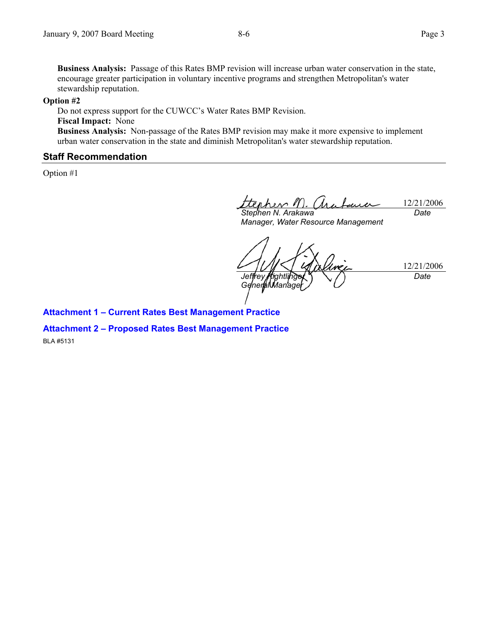**Business Analysis:** Passage of this Rates BMP revision will increase urban water conservation in the state, encourage greater participation in voluntary incentive programs and strengthen Metropolitan's water stewardship reputation.

#### **Option #2**

Do not express support for the CUWCC's Water Rates BMP Revision. **Fiscal Impact:** None **Business Analysis:** Non-passage of the Rates BMP revision may make it more expensive to implement urban water conservation in the state and diminish Metropolitan's water stewardship reputation.

### **Staff Recommendation**

Option #1

12/21/2006 *Date* 

*Stephen N. Arakawa Manager, Water Resource Management* 

12/21/2006 Jeffrey **Kightli** *General Manage Date* 

**Attachment 1 – Current Rates Best Management Practice** 

**Attachment 2 – Proposed Rates Best Management Practice** 

BLA #5131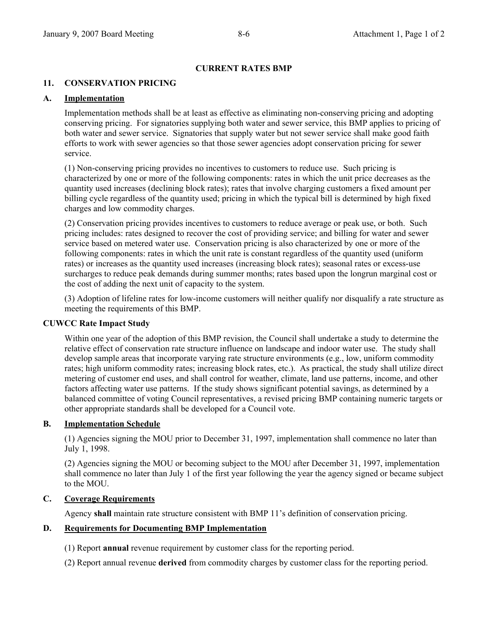### **CURRENT RATES BMP**

### **11. CONSERVATION PRICING**

#### **A. Implementation**

 Implementation methods shall be at least as effective as eliminating non-conserving pricing and adopting conserving pricing. For signatories supplying both water and sewer service, this BMP applies to pricing of both water and sewer service. Signatories that supply water but not sewer service shall make good faith efforts to work with sewer agencies so that those sewer agencies adopt conservation pricing for sewer service.

 (1) Non-conserving pricing provides no incentives to customers to reduce use. Such pricing is characterized by one or more of the following components: rates in which the unit price decreases as the quantity used increases (declining block rates); rates that involve charging customers a fixed amount per billing cycle regardless of the quantity used; pricing in which the typical bill is determined by high fixed charges and low commodity charges.

 (2) Conservation pricing provides incentives to customers to reduce average or peak use, or both. Such pricing includes: rates designed to recover the cost of providing service; and billing for water and sewer service based on metered water use. Conservation pricing is also characterized by one or more of the following components: rates in which the unit rate is constant regardless of the quantity used (uniform rates) or increases as the quantity used increases (increasing block rates); seasonal rates or excess-use surcharges to reduce peak demands during summer months; rates based upon the longrun marginal cost or the cost of adding the next unit of capacity to the system.

 (3) Adoption of lifeline rates for low-income customers will neither qualify nor disqualify a rate structure as meeting the requirements of this BMP.

#### **CUWCC Rate Impact Study**

 Within one year of the adoption of this BMP revision, the Council shall undertake a study to determine the relative effect of conservation rate structure influence on landscape and indoor water use. The study shall develop sample areas that incorporate varying rate structure environments (e.g., low, uniform commodity rates; high uniform commodity rates; increasing block rates, etc.). As practical, the study shall utilize direct metering of customer end uses, and shall control for weather, climate, land use patterns, income, and other factors affecting water use patterns. If the study shows significant potential savings, as determined by a balanced committee of voting Council representatives, a revised pricing BMP containing numeric targets or other appropriate standards shall be developed for a Council vote.

#### **B. Implementation Schedule**

 (1) Agencies signing the MOU prior to December 31, 1997, implementation shall commence no later than July 1, 1998.

 (2) Agencies signing the MOU or becoming subject to the MOU after December 31, 1997, implementation shall commence no later than July 1 of the first year following the year the agency signed or became subject to the MOU.

#### **C. Coverage Requirements**

Agency **shall** maintain rate structure consistent with BMP 11's definition of conservation pricing.

#### **D. Requirements for Documenting BMP Implementation**

(1) Report **annual** revenue requirement by customer class for the reporting period.

(2) Report annual revenue **derived** from commodity charges by customer class for the reporting period.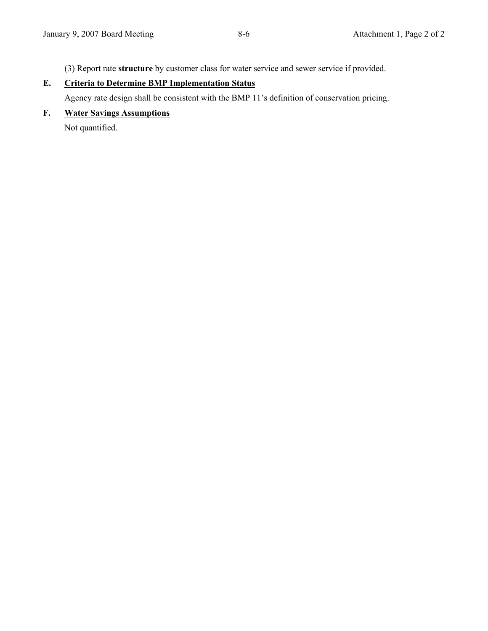(3) Report rate **structure** by customer class for water service and sewer service if provided.

# **E. Criteria to Determine BMP Implementation Status**

Agency rate design shall be consistent with the BMP 11's definition of conservation pricing.

**F. Water Savings Assumptions**

Not quantified.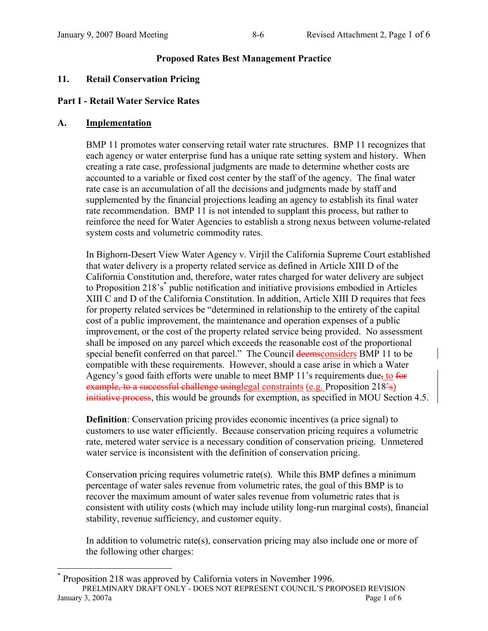## **Proposed Rates Best Management Practice**

## **11. Retail Conservation Pricing**

# **Part I - Retail Water Service Rates**

## **A. Implementation**

 $\overline{a}$ 

BMP 11 promotes water conserving retail water rate structures. BMP 11 recognizes that each agency or water enterprise fund has a unique rate setting system and history. When creating a rate case, professional judgments are made to determine whether costs are accounted to a variable or fixed cost center by the staff of the agency. The final water rate case is an accumulation of all the decisions and judgments made by staff and supplemented by the financial projections leading an agency to establish its final water rate recommendation. BMP 11 is not intended to supplant this process, but rather to reinforce the need for Water Agencies to establish a strong nexus between volume-related system costs and volumetric commodity rates.

In Bighorn-Desert View Water Agency v. Virjil the California Supreme Court established that water delivery is a property related service as defined in Article XIII D of the California Constitution and, therefore, water rates charged for water delivery are subject to Proposition 218's<sup>\*</sup> public notification and initiative provisions embodied in Articles XIII C and D of the California Constitution. In addition, Article XIII D requires that fees for property related services be "determined in relationship to the entirety of the capital cost of a public improvement, the maintenance and operation expenses of a public improvement, or the cost of the property related service being provided. No assessment shall be imposed on any parcel which exceeds the reasonable cost of the proportional special benefit conferred on that parcel." The Council deemsconsiders BMP 11 to be compatible with these requirements. However, should a case arise in which a Water Agency's good faith efforts were unable to meet BMP 11's requirements due, to for example, to a successful challenge usinglegal constraints (e.g. Proposition 218's) initiative process, this would be grounds for exemption, as specified in MOU Section 4.5.

**Definition**: Conservation pricing provides economic incentives (a price signal) to customers to use water efficiently. Because conservation pricing requires a volumetric rate, metered water service is a necessary condition of conservation pricing. Unmetered water service is inconsistent with the definition of conservation pricing.

Conservation pricing requires volumetric rate(s).While this BMP defines a minimum percentage of water sales revenue from volumetric rates, the goal of this BMP is to recover the maximum amount of water sales revenue from volumetric rates that is consistent with utility costs (which may include utility long-run marginal costs), financial stability, revenue sufficiency, and customer equity.

In addition to volumetric rate(s), conservation pricing may also include one or more of the following other charges:

PRELMINARY DRAFT ONLY - DOES NOT REPRESENT COUNCIL'S PROPOSED REVISION January 3, 2007a **Page 1 of 6** \* Proposition 218 was approved by California voters in November 1996.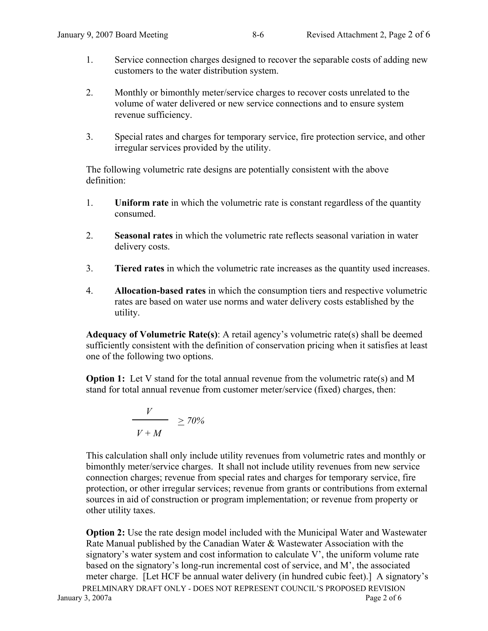- 1. Service connection charges designed to recover the separable costs of adding new customers to the water distribution system.
- 2. Monthly or bimonthly meter/service charges to recover costs unrelated to the volume of water delivered or new service connections and to ensure system revenue sufficiency.
- 3. Special rates and charges for temporary service, fire protection service, and other irregular services provided by the utility.

The following volumetric rate designs are potentially consistent with the above definition:

- 1. **Uniform rate** in which the volumetric rate is constant regardless of the quantity consumed.
- 2. **Seasonal rates** in which the volumetric rate reflects seasonal variation in water delivery costs.
- 3. **Tiered rates** in which the volumetric rate increases as the quantity used increases.
- 4. **Allocation-based rates** in which the consumption tiers and respective volumetric rates are based on water use norms and water delivery costs established by the utility.

**Adequacy of Volumetric Rate(s)**: A retail agency's volumetric rate(s) shall be deemed sufficiently consistent with the definition of conservation pricing when it satisfies at least one of the following two options.

**Option 1:** Let V stand for the total annual revenue from the volumetric rate(s) and M stand for total annual revenue from customer meter/service (fixed) charges, then:

$$
\frac{V}{V+M} \ge 70\%
$$

This calculation shall only include utility revenues from volumetric rates and monthly or bimonthly meter/service charges. It shall not include utility revenues from new service connection charges; revenue from special rates and charges for temporary service, fire protection, or other irregular services; revenue from grants or contributions from external sources in aid of construction or program implementation; or revenue from property or other utility taxes.

PRELMINARY DRAFT ONLY - DOES NOT REPRESENT COUNCIL'S PROPOSED REVISION January 3, 2007a **Page 2 of 6 Option 2:** Use the rate design model included with the Municipal Water and Wastewater Rate Manual published by the Canadian Water & Wastewater Association with the signatory's water system and cost information to calculate V', the uniform volume rate based on the signatory's long-run incremental cost of service, and M', the associated meter charge. [Let HCF be annual water delivery (in hundred cubic feet).] A signatory's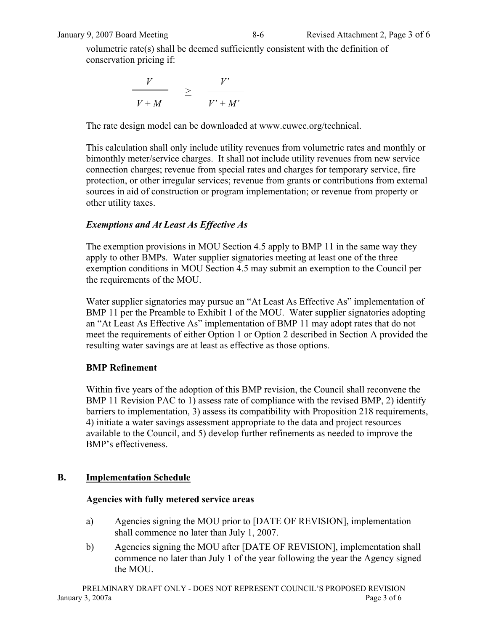volumetric rate(s) shall be deemed sufficiently consistent with the definition of conservation pricing if:

$$
\frac{V}{V+M} \quad \geq \quad \frac{V'}{V'+M'}
$$

The rate design model can be downloaded at www.cuwcc.org/technical.

This calculation shall only include utility revenues from volumetric rates and monthly or bimonthly meter/service charges. It shall not include utility revenues from new service connection charges; revenue from special rates and charges for temporary service, fire protection, or other irregular services; revenue from grants or contributions from external sources in aid of construction or program implementation; or revenue from property or other utility taxes.

# *Exemptions and At Least As Effective As*

The exemption provisions in MOU Section 4.5 apply to BMP 11 in the same way they apply to other BMPs. Water supplier signatories meeting at least one of the three exemption conditions in MOU Section 4.5 may submit an exemption to the Council per the requirements of the MOU.

Water supplier signatories may pursue an "At Least As Effective As" implementation of BMP 11 per the Preamble to Exhibit 1 of the MOU. Water supplier signatories adopting an "At Least As Effective As" implementation of BMP 11 may adopt rates that do not meet the requirements of either Option 1 or Option 2 described in Section A provided the resulting water savings are at least as effective as those options.

# **BMP Refinement**

Within five years of the adoption of this BMP revision, the Council shall reconvene the BMP 11 Revision PAC to 1) assess rate of compliance with the revised BMP, 2) identify barriers to implementation, 3) assess its compatibility with Proposition 218 requirements, 4) initiate a water savings assessment appropriate to the data and project resources available to the Council, and 5) develop further refinements as needed to improve the BMP's effectiveness.

# **B. Implementation Schedule**

# **Agencies with fully metered service areas**

- a) Agencies signing the MOU prior to [DATE OF REVISION], implementation shall commence no later than July 1, 2007.
- b) Agencies signing the MOU after [DATE OF REVISION], implementation shall commence no later than July 1 of the year following the year the Agency signed the MOU.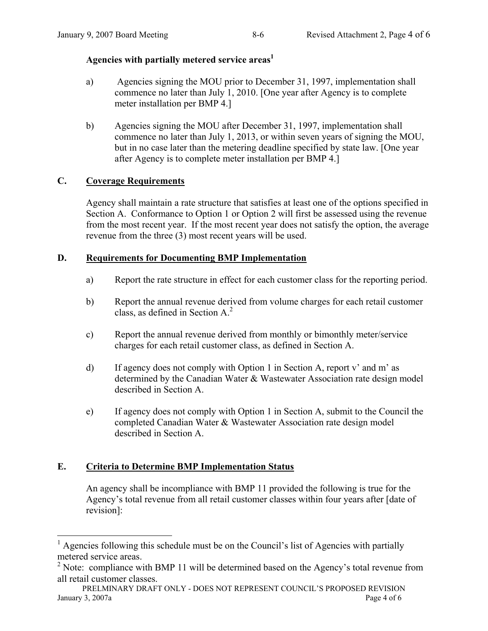# Agencies with partially metered service areas<sup>1</sup>

- a) Agencies signing the MOU prior to December 31, 1997, implementation shall commence no later than July 1, 2010. [One year after Agency is to complete meter installation per BMP 4.]
- b) Agencies signing the MOU after December 31, 1997, implementation shall commence no later than July 1, 2013, or within seven years of signing the MOU, but in no case later than the metering deadline specified by state law. [One year after Agency is to complete meter installation per BMP 4.]

# **C. Coverage Requirements**

Agency shall maintain a rate structure that satisfies at least one of the options specified in Section A. Conformance to Option 1 or Option 2 will first be assessed using the revenue from the most recent year. If the most recent year does not satisfy the option, the average revenue from the three (3) most recent years will be used.

# **D. Requirements for Documenting BMP Implementation**

- a) Report the rate structure in effect for each customer class for the reporting period.
- b) Report the annual revenue derived from volume charges for each retail customer class, as defined in Section  $A^2$ .
- c) Report the annual revenue derived from monthly or bimonthly meter/service charges for each retail customer class, as defined in Section A.
- d) If agency does not comply with Option 1 in Section A, report v' and m' as determined by the Canadian Water & Wastewater Association rate design model described in Section A.
- e) If agency does not comply with Option 1 in Section A, submit to the Council the completed Canadian Water & Wastewater Association rate design model described in Section A.

# **E. Criteria to Determine BMP Implementation Status**

 An agency shall be incompliance with BMP 11 provided the following is true for the Agency's total revenue from all retail customer classes within four years after [date of revision]:

<sup>&</sup>lt;sup>1</sup> Agencies following this schedule must be on the Council's list of Agencies with partially metered service areas.

<sup>&</sup>lt;sup>2</sup> Note: compliance with BMP 11 will be determined based on the Agency's total revenue from all retail customer classes.

PRELMINARY DRAFT ONLY - DOES NOT REPRESENT COUNCIL'S PROPOSED REVISION January 3, 2007a Page 4 of 6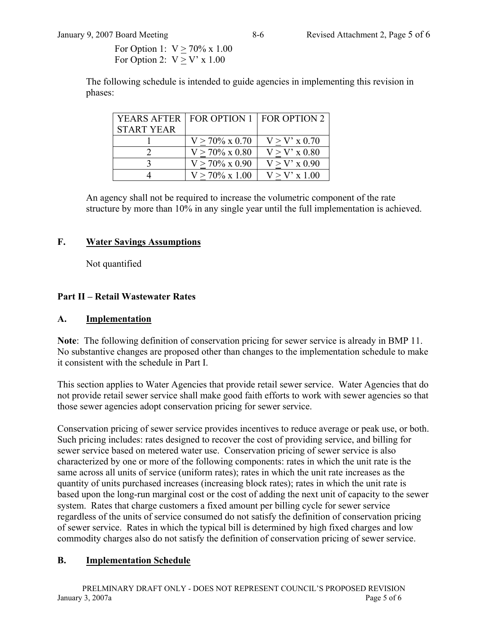For Option 1:  $V \ge 70\% \times 1.00$ For Option 2:  $V > V'$  x 1.00

The following schedule is intended to guide agencies in implementing this revision in phases:

| YEARS AFTER       | FOR OPTION 1   FOR OPTION 2 |                 |
|-------------------|-----------------------------|-----------------|
| <b>START YEAR</b> |                             |                 |
|                   | $V > 70\% \times 0.70$      | $V > V'$ x 0.70 |
|                   | $V > 70\%$ x 0.80           | $V > V'$ x 0.80 |
|                   | $V > 70\% \times 0.90$      | $V > V'$ x 0.90 |
|                   | $V > 70\% \times 1.00$      | $V > V'$ x 1.00 |

An agency shall not be required to increase the volumetric component of the rate structure by more than 10% in any single year until the full implementation is achieved.

# **F. Water Savings Assumptions**

Not quantified

# **Part II – Retail Wastewater Rates**

# **A. Implementation**

**Note**: The following definition of conservation pricing for sewer service is already in BMP 11. No substantive changes are proposed other than changes to the implementation schedule to make it consistent with the schedule in Part I.

This section applies to Water Agencies that provide retail sewer service. Water Agencies that do not provide retail sewer service shall make good faith efforts to work with sewer agencies so that those sewer agencies adopt conservation pricing for sewer service.

Conservation pricing of sewer service provides incentives to reduce average or peak use, or both. Such pricing includes: rates designed to recover the cost of providing service, and billing for sewer service based on metered water use. Conservation pricing of sewer service is also characterized by one or more of the following components: rates in which the unit rate is the same across all units of service (uniform rates); rates in which the unit rate increases as the quantity of units purchased increases (increasing block rates); rates in which the unit rate is based upon the long-run marginal cost or the cost of adding the next unit of capacity to the sewer system. Rates that charge customers a fixed amount per billing cycle for sewer service regardless of the units of service consumed do not satisfy the definition of conservation pricing of sewer service. Rates in which the typical bill is determined by high fixed charges and low commodity charges also do not satisfy the definition of conservation pricing of sewer service.

# **B. Implementation Schedule**